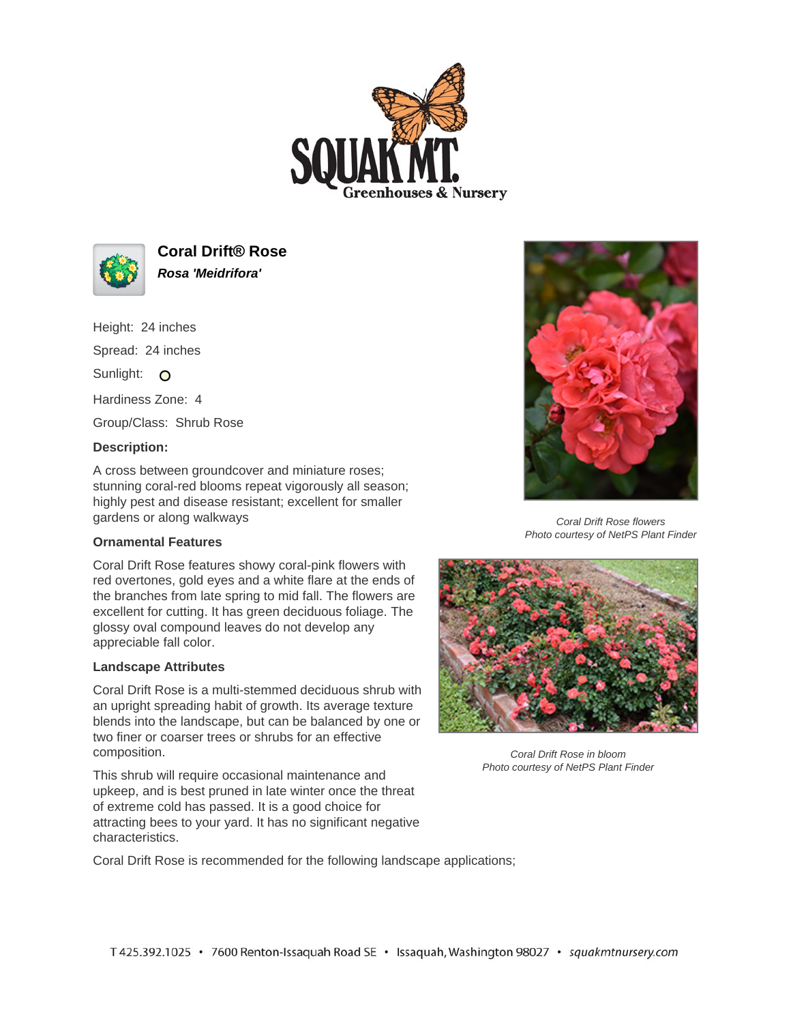



**Coral Drift® Rose Rosa 'Meidrifora'**

Height: 24 inches Spread: 24 inches Sunlight: O Hardiness Zone: 4 Group/Class: Shrub Rose

## **Description:**

A cross between groundcover and miniature roses; stunning coral-red blooms repeat vigorously all season; highly pest and disease resistant; excellent for smaller gardens or along walkways

## **Ornamental Features**

Coral Drift Rose features showy coral-pink flowers with red overtones, gold eyes and a white flare at the ends of the branches from late spring to mid fall. The flowers are excellent for cutting. It has green deciduous foliage. The glossy oval compound leaves do not develop any appreciable fall color.

## **Landscape Attributes**

Coral Drift Rose is a multi-stemmed deciduous shrub with an upright spreading habit of growth. Its average texture blends into the landscape, but can be balanced by one or two finer or coarser trees or shrubs for an effective composition.

This shrub will require occasional maintenance and upkeep, and is best pruned in late winter once the threat of extreme cold has passed. It is a good choice for attracting bees to your yard. It has no significant negative characteristics.



Coral Drift Rose flowers Photo courtesy of NetPS Plant Finder



Coral Drift Rose in bloom Photo courtesy of NetPS Plant Finder

Coral Drift Rose is recommended for the following landscape applications;